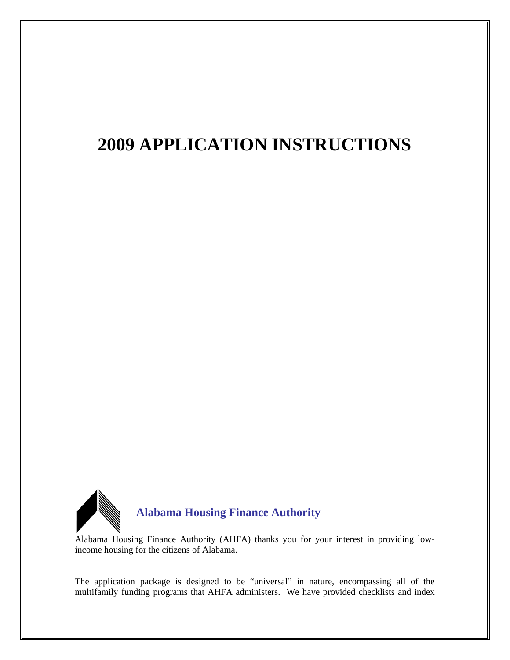# **2009 APPLICATION INSTRUCTIONS**



Alabama Housing Finance Authority (AHFA) thanks you for your interest in providing lowincome housing for the citizens of Alabama.

The application package is designed to be "universal" in nature, encompassing all of the multifamily funding programs that AHFA administers. We have provided checklists and index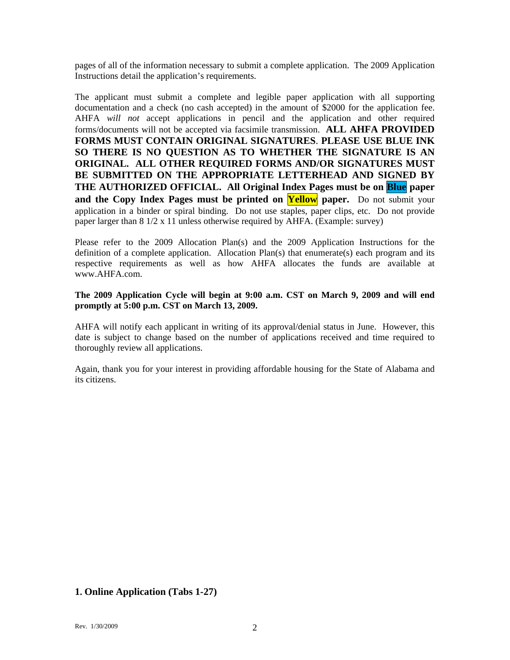pages of all of the information necessary to submit a complete application. The 2009 Application Instructions detail the application's requirements.

The applicant must submit a complete and legible paper application with all supporting documentation and a check (no cash accepted) in the amount of \$2000 for the application fee. AHFA *will not* accept applications in pencil and the application and other required forms/documents will not be accepted via facsimile transmission. **ALL AHFA PROVIDED FORMS MUST CONTAIN ORIGINAL SIGNATURES**. **PLEASE USE BLUE INK SO THERE IS NO QUESTION AS TO WHETHER THE SIGNATURE IS AN ORIGINAL. ALL OTHER REQUIRED FORMS AND/OR SIGNATURES MUST BE SUBMITTED ON THE APPROPRIATE LETTERHEAD AND SIGNED BY THE AUTHORIZED OFFICIAL. All Original Index Pages must be on Blue paper and the Copy Index Pages must be printed on <b>Yellow** paper. Do not submit your application in a binder or spiral binding. Do not use staples, paper clips, etc. Do not provide paper larger than 8 1/2 x 11 unless otherwise required by AHFA. (Example: survey)

Please refer to the 2009 Allocation Plan(s) and the 2009 Application Instructions for the definition of a complete application. Allocation  $Plan(s)$  that enumerate(s) each program and its respective requirements as well as how AHFA allocates the funds are available at www.AHFA.com

#### **The 2009 Application Cycle will begin at 9:00 a.m. CST on March 9, 2009 and will end promptly at 5:00 p.m. CST on March 13, 2009.**

AHFA will notify each applicant in writing of its approval/denial status in June. However, this date is subject to change based on the number of applications received and time required to thoroughly review all applications.

Again, thank you for your interest in providing affordable housing for the State of Alabama and its citizens.

## **1. Online Application (Tabs 1-27)**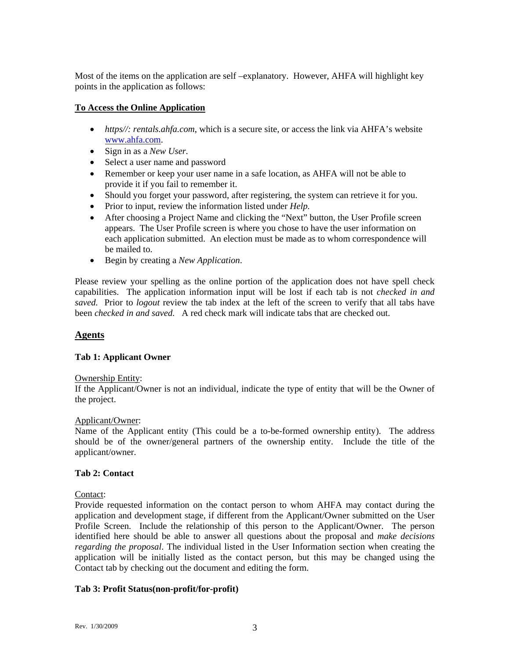Most of the items on the application are self –explanatory. However, AHFA will highlight key points in the application as follows:

# **To Access the Online Application**

- *https//: rentals.ahfa.com*, which is a secure site, or access the link via AHFA's website [www.ahfa.com](http://www.ahfa.com/).
- Sign in as a *New User.*
- Select a user name and password
- Remember or keep your user name in a safe location, as AHFA will not be able to provide it if you fail to remember it.
- Should you forget your password, after registering, the system can retrieve it for you.
- Prior to input, review the information listed under *Help.*
- After choosing a Project Name and clicking the "Next" button, the User Profile screen appears. The User Profile screen is where you chose to have the user information on each application submitted.An election must be made as to whom correspondence will be mailed to.
- Begin by creating a *New Application*.

Please review your spelling as the online portion of the application does not have spell check capabilities. The application information input will be lost if each tab is not *checked in and saved.* Prior to *logout* review the tab index at the left of the screen to verify that all tabs have been *checked in and saved.* A red check mark will indicate tabs that are checked out.

# **Agents**

# **Tab 1: Applicant Owner**

## Ownership Entity:

If the Applicant/Owner is not an individual, indicate the type of entity that will be the Owner of the project.

## Applicant/Owner:

Name of the Applicant entity (This could be a to-be-formed ownership entity). The address should be of the owner/general partners of the ownership entity. Include the title of the applicant/owner.

# **Tab 2: Contact**

# Contact:

Provide requested information on the contact person to whom AHFA may contact during the application and development stage, if different from the Applicant/Owner submitted on the User Profile Screen. Include the relationship of this person to the Applicant/Owner. The person identified here should be able to answer all questions about the proposal and *make decisions regarding the proposal*. The individual listed in the User Information section when creating the application will be initially listed as the contact person, but this may be changed using the Contact tab by checking out the document and editing the form.

# **Tab 3: Profit Status(non-profit/for-profit)**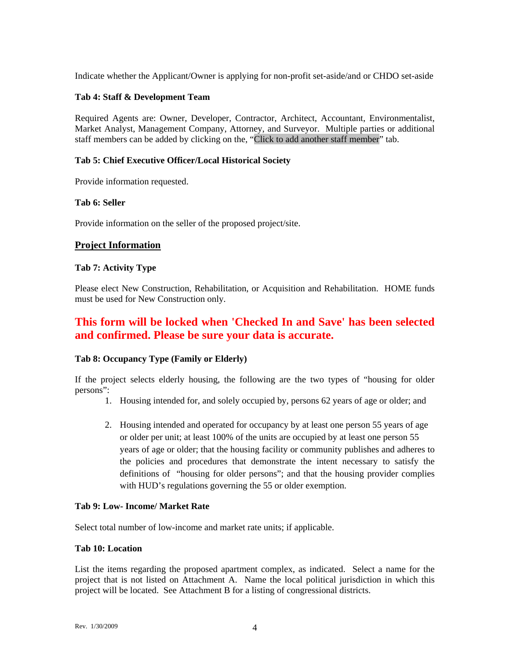Indicate whether the Applicant/Owner is applying for non-profit set-aside/and or CHDO set-aside

## **Tab 4: Staff & Development Team**

Required Agents are: Owner, Developer, Contractor, Architect, Accountant, Environmentalist, Market Analyst, Management Company, Attorney, and Surveyor. Multiple parties or additional staff members can be added by clicking on the, "Click to add another staff member" tab.

## **Tab 5: Chief Executive Officer/Local Historical Society**

Provide information requested.

#### **Tab 6: Seller**

Provide information on the seller of the proposed project/site.

## **Project Information**

#### **Tab 7: Activity Type**

Please elect New Construction, Rehabilitation, or Acquisition and Rehabilitation. HOME funds must be used for New Construction only.

# **This form will be locked when 'Checked In and Save' has been selected and confirmed. Please be sure your data is accurate.**

#### **Tab 8: Occupancy Type (Family or Elderly)**

If the project selects elderly housing, the following are the two types of "housing for older persons":

- 1. Housing intended for, and solely occupied by, persons 62 years of age or older; and
- 2. Housing intended and operated for occupancy by at least one person 55 years of age or older per unit; at least 100% of the units are occupied by at least one person 55 years of age or older; that the housing facility or community publishes and adheres to the policies and procedures that demonstrate the intent necessary to satisfy the definitions of "housing for older persons"; and that the housing provider complies with HUD's regulations governing the 55 or older exemption.

#### **Tab 9: Low- Income/ Market Rate**

Select total number of low-income and market rate units; if applicable.

#### **Tab 10: Location**

List the items regarding the proposed apartment complex, as indicated. Select a name for the project that is not listed on Attachment A. Name the local political jurisdiction in which this project will be located. See Attachment B for a listing of congressional districts.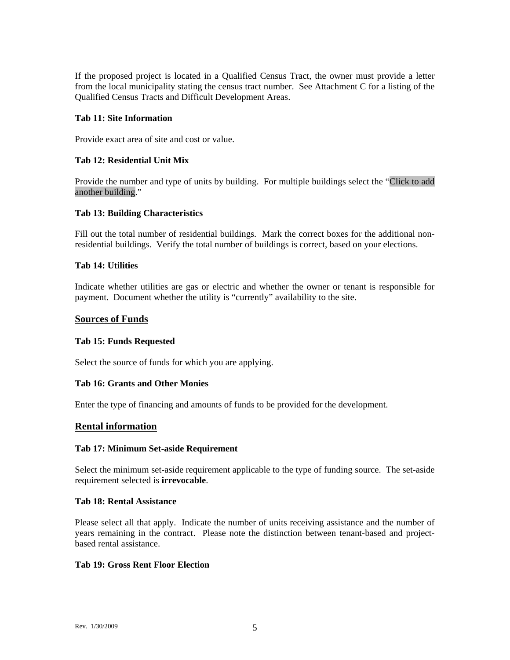If the proposed project is located in a Qualified Census Tract, the owner must provide a letter from the local municipality stating the census tract number. See Attachment C for a listing of the Qualified Census Tracts and Difficult Development Areas.

#### **Tab 11: Site Information**

Provide exact area of site and cost or value.

## **Tab 12: Residential Unit Mix**

Provide the number and type of units by building. For multiple buildings select the "Click to add another building."

#### **Tab 13: Building Characteristics**

Fill out the total number of residential buildings. Mark the correct boxes for the additional nonresidential buildings. Verify the total number of buildings is correct, based on your elections.

#### **Tab 14: Utilities**

Indicate whether utilities are gas or electric and whether the owner or tenant is responsible for payment. Document whether the utility is "currently" availability to the site.

#### **Sources of Funds**

#### **Tab 15: Funds Requested**

Select the source of funds for which you are applying.

#### **Tab 16: Grants and Other Monies**

Enter the type of financing and amounts of funds to be provided for the development.

## **Rental information**

#### **Tab 17: Minimum Set-aside Requirement**

Select the minimum set-aside requirement applicable to the type of funding source. The set-aside requirement selected is **irrevocable**.

#### **Tab 18: Rental Assistance**

Please select all that apply. Indicate the number of units receiving assistance and the number of years remaining in the contract. Please note the distinction between tenant-based and projectbased rental assistance.

#### **Tab 19: Gross Rent Floor Election**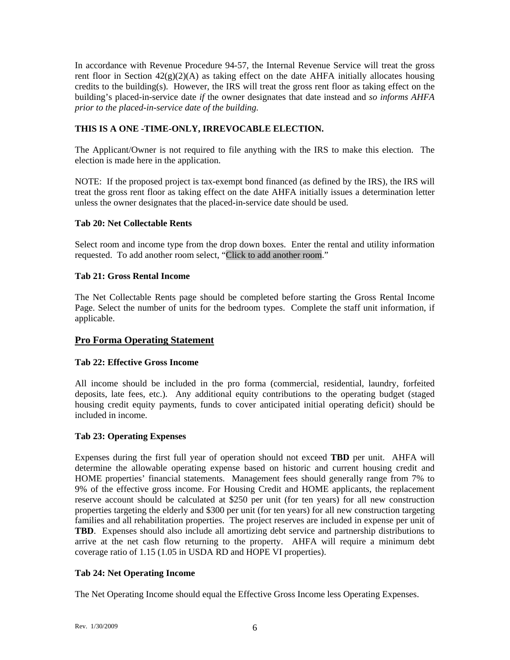In accordance with Revenue Procedure 94-57, the Internal Revenue Service will treat the gross rent floor in Section  $42(g)(2)(A)$  as taking effect on the date AHFA initially allocates housing credits to the building(s). However, the IRS will treat the gross rent floor as taking effect on the building's placed-in-service date *if* the owner designates that date instead and *so informs AHFA prior to the placed-in-service date of the building.* 

# **THIS IS A ONE -TIME-ONLY, IRREVOCABLE ELECTION.**

The Applicant/Owner is not required to file anything with the IRS to make this election. The election is made here in the application.

NOTE: If the proposed project is tax-exempt bond financed (as defined by the IRS), the IRS will treat the gross rent floor as taking effect on the date AHFA initially issues a determination letter unless the owner designates that the placed-in-service date should be used.

## **Tab 20: Net Collectable Rents**

Select room and income type from the drop down boxes. Enter the rental and utility information requested. To add another room select, "Click to add another room."

## **Tab 21: Gross Rental Income**

The Net Collectable Rents page should be completed before starting the Gross Rental Income Page. Select the number of units for the bedroom types. Complete the staff unit information, if applicable.

# **Pro Forma Operating Statement**

## **Tab 22: Effective Gross Income**

All income should be included in the pro forma (commercial, residential, laundry, forfeited deposits, late fees, etc.). Any additional equity contributions to the operating budget (staged housing credit equity payments, funds to cover anticipated initial operating deficit) should be included in income.

## **Tab 23: Operating Expenses**

Expenses during the first full year of operation should not exceed **TBD** per unit. AHFA will determine the allowable operating expense based on historic and current housing credit and HOME properties' financial statements. Management fees should generally range from 7% to 9% of the effective gross income. For Housing Credit and HOME applicants, the replacement reserve account should be calculated at \$250 per unit (for ten years) for all new construction properties targeting the elderly and \$300 per unit (for ten years) for all new construction targeting families and all rehabilitation properties. The project reserves are included in expense per unit of **TBD**. Expenses should also include all amortizing debt service and partnership distributions to arrive at the net cash flow returning to the property. AHFA will require a minimum debt coverage ratio of 1.15 (1.05 in USDA RD and HOPE VI properties).

## **Tab 24: Net Operating Income**

The Net Operating Income should equal the Effective Gross Income less Operating Expenses.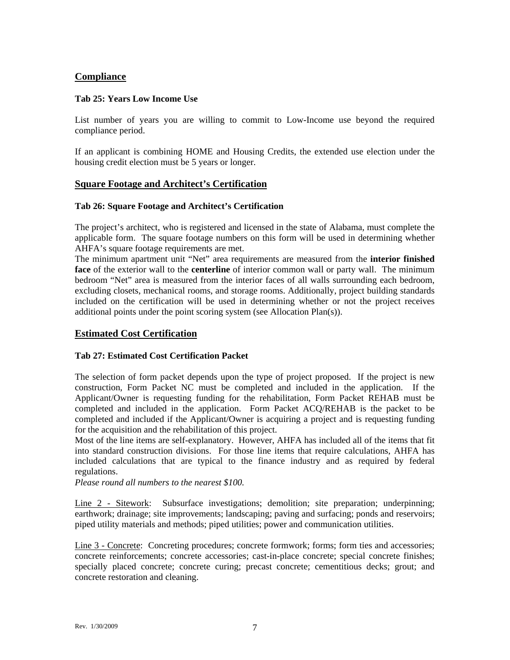# **Compliance**

#### **Tab 25: Years Low Income Use**

List number of years you are willing to commit to Low-Income use beyond the required compliance period.

If an applicant is combining HOME and Housing Credits, the extended use election under the housing credit election must be 5 years or longer.

# **Square Footage and Architect's Certification**

#### **Tab 26: Square Footage and Architect's Certification**

The project's architect, who is registered and licensed in the state of Alabama, must complete the applicable form. The square footage numbers on this form will be used in determining whether AHFA's square footage requirements are met.

The minimum apartment unit "Net" area requirements are measured from the **interior finished face** of the exterior wall to the **centerline** of interior common wall or party wall. The minimum bedroom "Net" area is measured from the interior faces of all walls surrounding each bedroom, excluding closets, mechanical rooms, and storage rooms. Additionally, project building standards included on the certification will be used in determining whether or not the project receives additional points under the point scoring system (see Allocation Plan(s)).

## **Estimated Cost Certification**

## **Tab 27: Estimated Cost Certification Packet**

The selection of form packet depends upon the type of project proposed. If the project is new construction, Form Packet NC must be completed and included in the application. If the Applicant/Owner is requesting funding for the rehabilitation, Form Packet REHAB must be completed and included in the application. Form Packet ACQ/REHAB is the packet to be completed and included if the Applicant/Owner is acquiring a project and is requesting funding for the acquisition and the rehabilitation of this project.

Most of the line items are self-explanatory. However, AHFA has included all of the items that fit into standard construction divisions. For those line items that require calculations, AHFA has included calculations that are typical to the finance industry and as required by federal regulations.

*Please round all numbers to the nearest \$100.* 

Line 2 - Sitework: Subsurface investigations; demolition; site preparation; underpinning; earthwork; drainage; site improvements; landscaping; paving and surfacing; ponds and reservoirs; piped utility materials and methods; piped utilities; power and communication utilities.

Line 3 - Concrete: Concreting procedures; concrete formwork; forms; form ties and accessories; concrete reinforcements; concrete accessories; cast-in-place concrete; special concrete finishes; specially placed concrete; concrete curing; precast concrete; cementitious decks; grout; and concrete restoration and cleaning.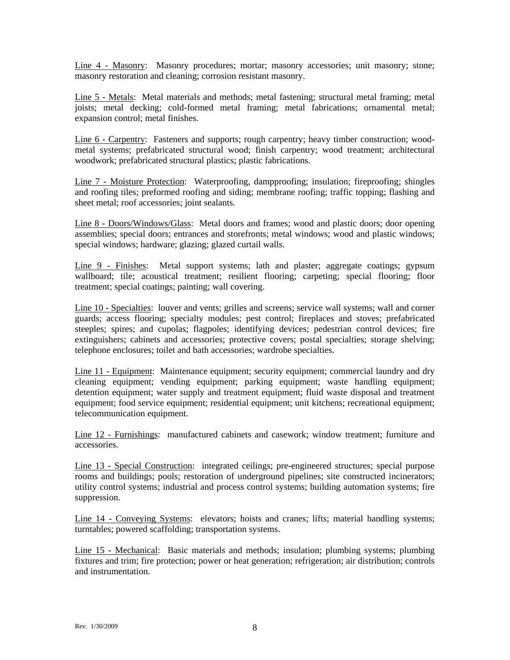Line 4 - Masonry: Masonry procedures; mortar; masonry accessories; unit masonry; stone; masonry restoration and cleaning; corrosion resistant masonry.

Line 5 - Metals: Metal materials and methods; metal fastening; structural metal framing; metal joists; metal decking; cold-formed metal framing; metal fabrications; ornamental metal; expansion control; metal finishes.

Line 6 - Carpentry: Fasteners and supports; rough carpentry; heavy timber construction; woodmetal systems; prefabricated structural wood; finish carpentry; wood treatment; architectural woodwork; prefabricated structural plastics; plastic fabrications.

Line 7 - Moisture Protection: Waterproofing, dampproofing; insulation; fireproofing; shingles and roofing tiles; preformed roofing and siding; membrane roofing; traffic topping; flashing and sheet metal; roof accessories; joint sealants.

Line 8 - Doors/Windows/Glass: Metal doors and frames; wood and plastic doors; door opening assemblies; special doors; entrances and storefronts; metal windows; wood and plastic windows; special windows; hardware; glazing; glazed curtail walls.

Line 9 - Finishes: Metal support systems; lath and plaster; aggregate coatings; gypsum wallboard; tile; acoustical treatment; resilient flooring; carpeting; special flooring; floor treatment; special coatings; painting; wall covering.

Line 10 - Specialties: louver and vents; grilles and screens; service wall systems; wall and corner guards; access flooring; specialty modules; pest control; fireplaces and stoves; prefabricated steeples; spires; and cupolas; flagpoles; identifying devices; pedestrian control devices; fire extinguishers; cabinets and accessories; protective covers; postal specialties; storage shelving; telephone enclosures; toilet and bath accessories; wardrobe specialties.

Line 11 - Equipment: Maintenance equipment; security equipment; commercial laundry and dry cleaning equipment; vending equipment; parking equipment; waste handling equipment; detention equipment; water supply and treatment equipment; fluid waste disposal and treatment equipment; food service equipment; residential equipment; unit kitchens; recreational equipment; telecommunication equipment.

Line 12 - Furnishings: manufactured cabinets and casework; window treatment; furniture and accessories.

Line 13 - Special Construction: integrated ceilings; pre-engineered structures; special purpose rooms and buildings; pools; restoration of underground pipelines; site constructed incinerators; utility control systems; industrial and process control systems; building automation systems; fire suppression.

Line 14 - Conveying Systems: elevators; hoists and cranes; lifts; material handling systems; turntables; powered scaffolding; transportation systems.

Line 15 - Mechanical: Basic materials and methods; insulation; plumbing systems; plumbing fixtures and trim; fire protection; power or heat generation; refrigeration; air distribution; controls and instrumentation.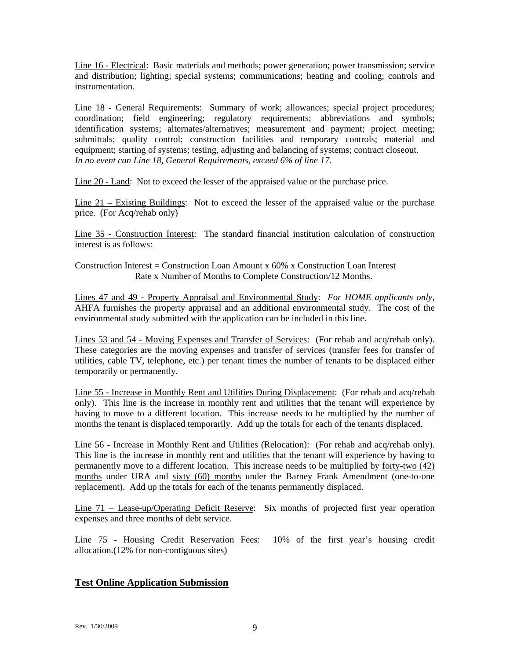Line 16 - Electrical: Basic materials and methods; power generation; power transmission; service and distribution; lighting; special systems; communications; heating and cooling; controls and instrumentation.

Line 18 - General Requirements: Summary of work; allowances; special project procedures; coordination; field engineering; regulatory requirements; abbreviations and symbols; identification systems; alternates/alternatives; measurement and payment; project meeting; submittals; quality control; construction facilities and temporary controls; material and equipment; starting of systems; testing, adjusting and balancing of systems; contract closeout. *In no event can Line 18, General Requirements, exceed 6% of line 17.* 

Line 20 - Land: Not to exceed the lesser of the appraised value or the purchase price.

Line 21 – Existing Buildings: Not to exceed the lesser of the appraised value or the purchase price. (For Acq/rehab only)

Line 35 - Construction Interest: The standard financial institution calculation of construction interest is as follows:

Construction Interest = Construction Loan Amount  $x$  60%  $x$  Construction Loan Interest Rate x Number of Months to Complete Construction/12 Months.

Lines 47 and 49 - Property Appraisal and Environmental Study: *For HOME applicants only,* AHFA furnishes the property appraisal and an additional environmental study. The cost of the environmental study submitted with the application can be included in this line.

Lines 53 and 54 - Moving Expenses and Transfer of Services: (For rehab and acq/rehab only). These categories are the moving expenses and transfer of services (transfer fees for transfer of utilities, cable TV, telephone, etc.) per tenant times the number of tenants to be displaced either temporarily or permanently.

Line 55 - Increase in Monthly Rent and Utilities During Displacement: (For rehab and acq/rehab only). This line is the increase in monthly rent and utilities that the tenant will experience by having to move to a different location. This increase needs to be multiplied by the number of months the tenant is displaced temporarily. Add up the totals for each of the tenants displaced.

Line 56 - Increase in Monthly Rent and Utilities (Relocation): (For rehab and acq/rehab only). This line is the increase in monthly rent and utilities that the tenant will experience by having to permanently move to a different location. This increase needs to be multiplied by forty-two (42) months under URA and sixty (60) months under the Barney Frank Amendment (one-to-one replacement). Add up the totals for each of the tenants permanently displaced.

Line 71 – Lease-up/Operating Deficit Reserve: Six months of projected first year operation expenses and three months of debt service.

Line 75 - Housing Credit Reservation Fees: 10% of the first year's housing credit allocation.(12% for non-contiguous sites)

# **Test Online Application Submission**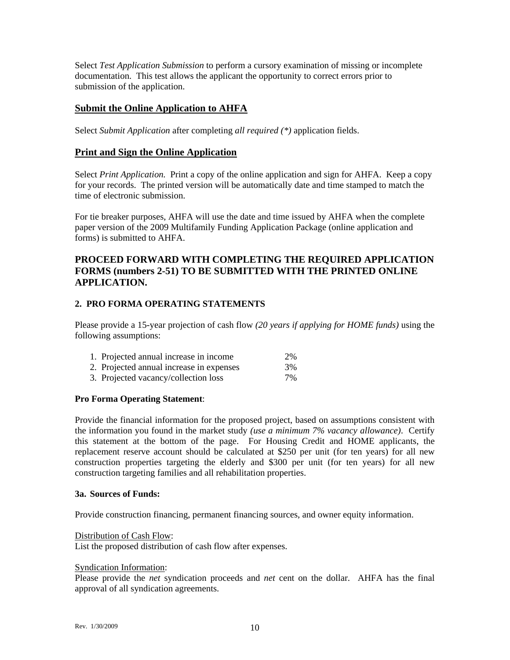Select *Test Application Submission* to perform a cursory examination of missing or incomplete documentation. This test allows the applicant the opportunity to correct errors prior to submission of the application.

# **Submit the Online Application to AHFA**

Select *Submit Application* after completing *all required (\*)* application fields.

## **Print and Sign the Online Application**

Select *Print Application.* Print a copy of the online application and sign for AHFA. Keep a copy for your records. The printed version will be automatically date and time stamped to match the time of electronic submission.

For tie breaker purposes, AHFA will use the date and time issued by AHFA when the complete paper version of the 2009 Multifamily Funding Application Package (online application and forms) is submitted to AHFA.

# **PROCEED FORWARD WITH COMPLETING THE REQUIRED APPLICATION FORMS (numbers 2-51) TO BE SUBMITTED WITH THE PRINTED ONLINE APPLICATION.**

## **2. PRO FORMA OPERATING STATEMENTS**

Please provide a 15-year projection of cash flow *(20 years if applying for HOME funds)* using the following assumptions:

| 1. Projected annual increase in income   | 2%    |
|------------------------------------------|-------|
| 2. Projected annual increase in expenses | 3%    |
| 3. Projected vacancy/collection loss     | $7\%$ |

## **Pro Forma Operating Statement**:

Provide the financial information for the proposed project, based on assumptions consistent with the information you found in the market study *(use a minimum 7% vacancy allowance)*. Certify this statement at the bottom of the page. For Housing Credit and HOME applicants, the replacement reserve account should be calculated at \$250 per unit (for ten years) for all new construction properties targeting the elderly and \$300 per unit (for ten years) for all new construction targeting families and all rehabilitation properties.

#### **3a. Sources of Funds:**

Provide construction financing, permanent financing sources, and owner equity information.

## Distribution of Cash Flow:

List the proposed distribution of cash flow after expenses.

#### Syndication Information:

Please provide the *net* syndication proceeds and *net* cent on the dollar. AHFA has the final approval of all syndication agreements.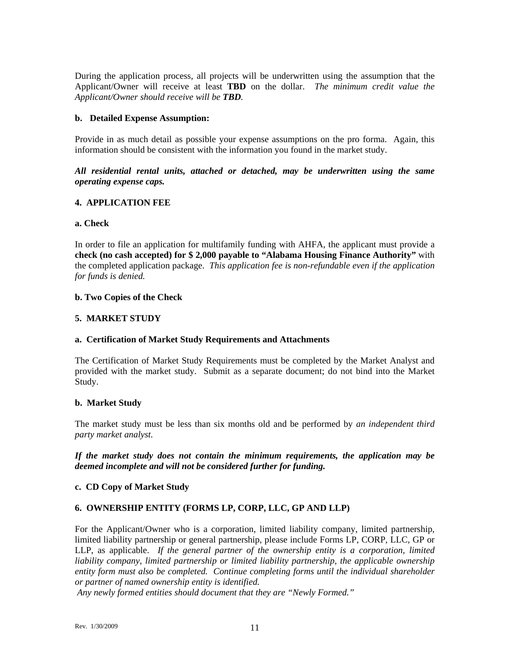During the application process, all projects will be underwritten using the assumption that the Applicant/Owner will receive at least **TBD** on the dollar. *The minimum credit value the Applicant/Owner should receive will be TBD.* 

#### **b. Detailed Expense Assumption:**

Provide in as much detail as possible your expense assumptions on the pro forma. Again, this information should be consistent with the information you found in the market study.

*All residential rental units, attached or detached, may be underwritten using the same operating expense caps.* 

#### **4. APPLICATION FEE**

#### **a. Check**

In order to file an application for multifamily funding with AHFA, the applicant must provide a **check (no cash accepted) for \$ 2,000 payable to "Alabama Housing Finance Authority"** with the completed application package. *This application fee is non-refundable even if the application for funds is denied.*

#### **b. Two Copies of the Check**

## **5. MARKET STUDY**

## **a. Certification of Market Study Requirements and Attachments**

The Certification of Market Study Requirements must be completed by the Market Analyst and provided with the market study. Submit as a separate document; do not bind into the Market Study.

#### **b. Market Study**

The market study must be less than six months old and be performed by *an independent third party market analyst.* 

*If the market study does not contain the minimum requirements, the application may be deemed incomplete and will not be considered further for funding.* 

## **c. CD Copy of Market Study**

## **6. OWNERSHIP ENTITY (FORMS LP, CORP, LLC, GP AND LLP)**

For the Applicant/Owner who is a corporation, limited liability company, limited partnership, limited liability partnership or general partnership, please include Forms LP, CORP, LLC, GP or LLP, as applicable. *If the general partner of the ownership entity is a corporation, limited*  liability company, limited partnership or limited liability partnership, the applicable ownership *entity form must also be completed. Continue completing forms until the individual shareholder or partner of named ownership entity is identified.* 

 *Any newly formed entities should document that they are "Newly Formed."*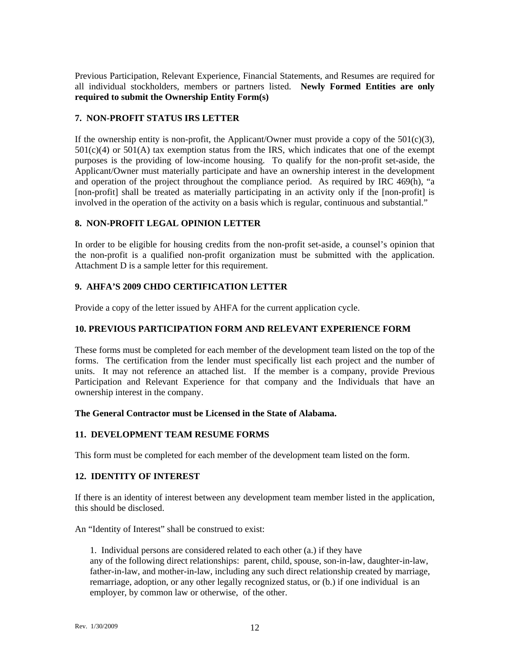Previous Participation, Relevant Experience, Financial Statements, and Resumes are required for all individual stockholders, members or partners listed. **Newly Formed Entities are only required to submit the Ownership Entity Form(s)**

## **7. NON-PROFIT STATUS IRS LETTER**

If the ownership entity is non-profit, the Applicant/Owner must provide a copy of the  $501(c)(3)$ ,  $501(c)(4)$  or  $501(A)$  tax exemption status from the IRS, which indicates that one of the exempt purposes is the providing of low-income housing. To qualify for the non-profit set-aside, the Applicant/Owner must materially participate and have an ownership interest in the development and operation of the project throughout the compliance period. As required by IRC 469(h), "a [non-profit] shall be treated as materially participating in an activity only if the [non-profit] is involved in the operation of the activity on a basis which is regular, continuous and substantial."

#### **8. NON-PROFIT LEGAL OPINION LETTER**

In order to be eligible for housing credits from the non-profit set-aside, a counsel's opinion that the non-profit is a qualified non-profit organization must be submitted with the application. Attachment D is a sample letter for this requirement.

## **9. AHFA'S 2009 CHDO CERTIFICATION LETTER**

Provide a copy of the letter issued by AHFA for the current application cycle.

#### **10. PREVIOUS PARTICIPATION FORM AND RELEVANT EXPERIENCE FORM**

These forms must be completed for each member of the development team listed on the top of the forms. The certification from the lender must specifically list each project and the number of units. It may not reference an attached list. If the member is a company, provide Previous Participation and Relevant Experience for that company and the Individuals that have an ownership interest in the company.

#### **The General Contractor must be Licensed in the State of Alabama.**

## **11. DEVELOPMENT TEAM RESUME FORMS**

This form must be completed for each member of the development team listed on the form.

## **12. IDENTITY OF INTEREST**

If there is an identity of interest between any development team member listed in the application, this should be disclosed.

An "Identity of Interest" shall be construed to exist:

1. Individual persons are considered related to each other (a.) if they have any of the following direct relationships: parent, child, spouse, son-in-law, daughter-in-law, father-in-law, and mother-in-law, including any such direct relationship created by marriage, remarriage, adoption, or any other legally recognized status, or (b.) if one individual is an employer, by common law or otherwise, of the other.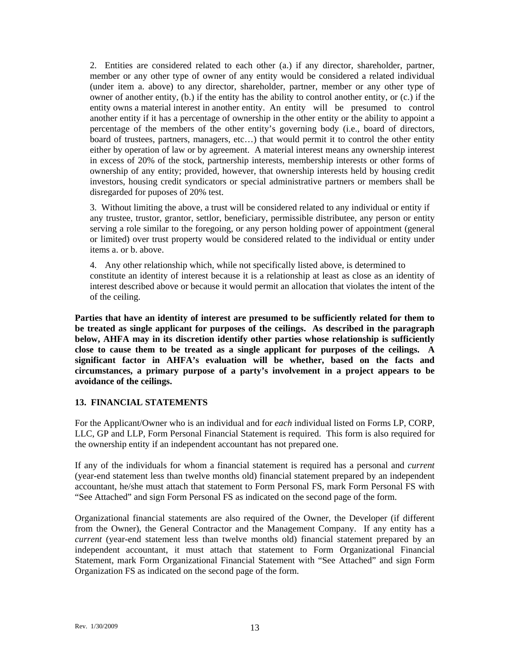2. Entities are considered related to each other (a.) if any director, shareholder, partner, member or any other type of owner of any entity would be considered a related individual (under item a. above) to any director, shareholder, partner, member or any other type of owner of another entity, (b.) if the entity has the ability to control another entity, or (c.) if the entity owns a material interest in another entity. An entity will be presumed to control another entity if it has a percentage of ownership in the other entity or the ability to appoint a percentage of the members of the other entity's governing body (i.e., board of directors, board of trustees, partners, managers, etc…) that would permit it to control the other entity either by operation of law or by agreement. A material interest means any ownership interest in excess of 20% of the stock, partnership interests, membership interests or other forms of ownership of any entity; provided, however, that ownership interests held by housing credit investors, housing credit syndicators or special administrative partners or members shall be disregarded for puposes of 20% test.

3. Without limiting the above, a trust will be considered related to any individual or entity if any trustee, trustor, grantor, settlor, beneficiary, permissible distributee, any person or entity serving a role similar to the foregoing, or any person holding power of appointment (general or limited) over trust property would be considered related to the individual or entity under items a. or b. above.

4. Any other relationship which, while not specifically listed above, is determined to constitute an identity of interest because it is a relationship at least as close as an identity of interest described above or because it would permit an allocation that violates the intent of the of the ceiling.

**Parties that have an identity of interest are presumed to be sufficiently related for them to be treated as single applicant for purposes of the ceilings. As described in the paragraph below, AHFA may in its discretion identify other parties whose relationship is sufficiently close to cause them to be treated as a single applicant for purposes of the ceilings. A significant factor in AHFA's evaluation will be whether, based on the facts and circumstances, a primary purpose of a party's involvement in a project appears to be avoidance of the ceilings.** 

#### **13. FINANCIAL STATEMENTS**

For the Applicant/Owner who is an individual and for *each* individual listed on Forms LP, CORP, LLC, GP and LLP, Form Personal Financial Statement is required. This form is also required for the ownership entity if an independent accountant has not prepared one.

If any of the individuals for whom a financial statement is required has a personal and *current* (year-end statement less than twelve months old) financial statement prepared by an independent accountant, he/she must attach that statement to Form Personal FS, mark Form Personal FS with "See Attached" and sign Form Personal FS as indicated on the second page of the form.

Organizational financial statements are also required of the Owner, the Developer (if different from the Owner), the General Contractor and the Management Company. If any entity has a *current* (year-end statement less than twelve months old) financial statement prepared by an independent accountant, it must attach that statement to Form Organizational Financial Statement, mark Form Organizational Financial Statement with "See Attached" and sign Form Organization FS as indicated on the second page of the form.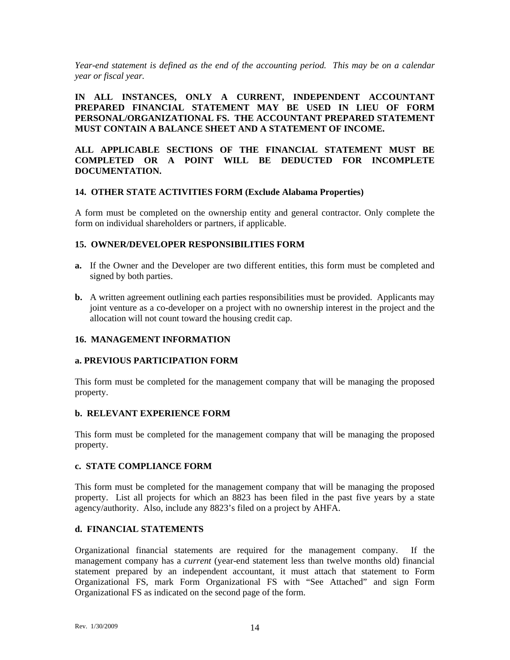*Year-end statement is defined as the end of the accounting period. This may be on a calendar year or fiscal year.* 

**IN ALL INSTANCES, ONLY A CURRENT, INDEPENDENT ACCOUNTANT PREPARED FINANCIAL STATEMENT MAY BE USED IN LIEU OF FORM PERSONAL/ORGANIZATIONAL FS. THE ACCOUNTANT PREPARED STATEMENT MUST CONTAIN A BALANCE SHEET AND A STATEMENT OF INCOME.** 

#### **ALL APPLICABLE SECTIONS OF THE FINANCIAL STATEMENT MUST BE COMPLETED OR A POINT WILL BE DEDUCTED FOR INCOMPLETE DOCUMENTATION.**

#### **14. OTHER STATE ACTIVITIES FORM (Exclude Alabama Properties)**

A form must be completed on the ownership entity and general contractor. Only complete the form on individual shareholders or partners, if applicable.

#### **15. OWNER/DEVELOPER RESPONSIBILITIES FORM**

- **a.** If the Owner and the Developer are two different entities, this form must be completed and signed by both parties.
- **b.** A written agreement outlining each parties responsibilities must be provided.Applicants may joint venture as a co-developer on a project with no ownership interest in the project and the allocation will not count toward the housing credit cap.

## **16. MANAGEMENT INFORMATION**

#### **a. PREVIOUS PARTICIPATION FORM**

This form must be completed for the management company that will be managing the proposed property.

## **b. RELEVANT EXPERIENCE FORM**

This form must be completed for the management company that will be managing the proposed property.

#### **c. STATE COMPLIANCE FORM**

This form must be completed for the management company that will be managing the proposed property. List all projects for which an 8823 has been filed in the past five years by a state agency/authority. Also, include any 8823's filed on a project by AHFA.

## **d. FINANCIAL STATEMENTS**

Organizational financial statements are required for the management company. If the management company has a *current* (year-end statement less than twelve months old) financial statement prepared by an independent accountant, it must attach that statement to Form Organizational FS, mark Form Organizational FS with "See Attached" and sign Form Organizational FS as indicated on the second page of the form.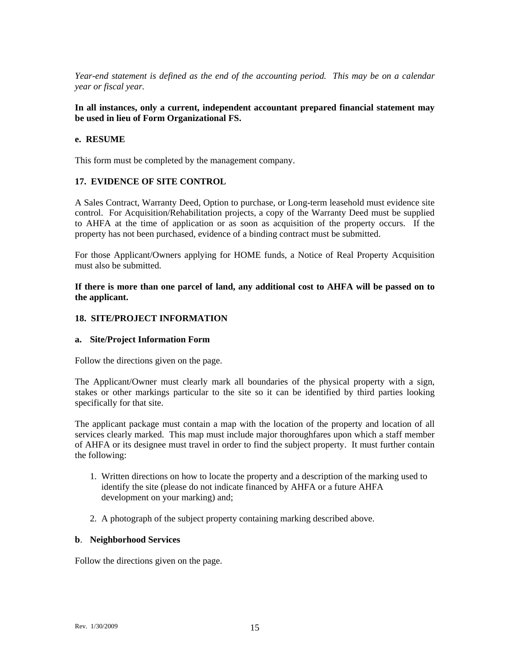*Year-end statement is defined as the end of the accounting period. This may be on a calendar year or fiscal year.* 

#### **In all instances, only a current, independent accountant prepared financial statement may be used in lieu of Form Organizational FS.**

#### **e. RESUME**

This form must be completed by the management company.

#### **17. EVIDENCE OF SITE CONTROL**

A Sales Contract, Warranty Deed, Option to purchase, or Long-term leasehold must evidence site control. For Acquisition/Rehabilitation projects, a copy of the Warranty Deed must be supplied to AHFA at the time of application or as soon as acquisition of the property occurs. If the property has not been purchased, evidence of a binding contract must be submitted.

For those Applicant/Owners applying for HOME funds, a Notice of Real Property Acquisition must also be submitted.

**If there is more than one parcel of land, any additional cost to AHFA will be passed on to the applicant.** 

#### **18. SITE/PROJECT INFORMATION**

#### **a. Site/Project Information Form**

Follow the directions given on the page.

The Applicant/Owner must clearly mark all boundaries of the physical property with a sign, stakes or other markings particular to the site so it can be identified by third parties looking specifically for that site.

The applicant package must contain a map with the location of the property and location of all services clearly marked. This map must include major thoroughfares upon which a staff member of AHFA or its designee must travel in order to find the subject property. It must further contain the following:

- 1. Written directions on how to locate the property and a description of the marking used to identify the site (please do not indicate financed by AHFA or a future AHFA development on your marking) and;
- 2. A photograph of the subject property containing marking described above.

#### **b**. **Neighborhood Services**

Follow the directions given on the page.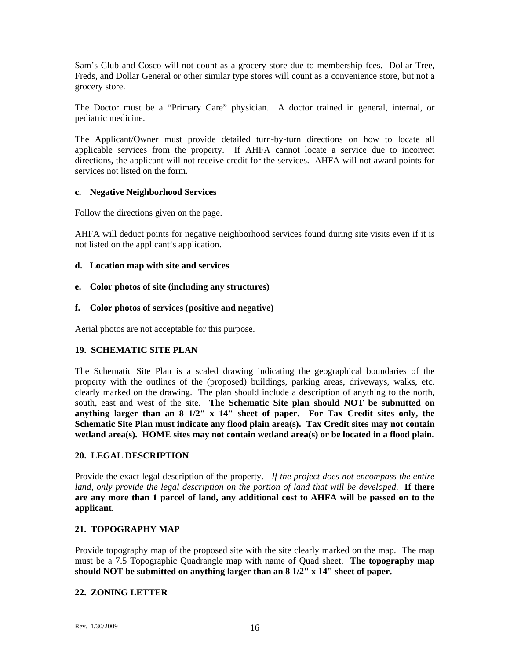Sam's Club and Cosco will not count as a grocery store due to membership fees. Dollar Tree, Freds, and Dollar General or other similar type stores will count as a convenience store, but not a grocery store.

The Doctor must be a "Primary Care" physician. A doctor trained in general, internal, or pediatric medicine.

The Applicant/Owner must provide detailed turn-by-turn directions on how to locate all applicable services from the property. If AHFA cannot locate a service due to incorrect directions, the applicant will not receive credit for the services. AHFA will not award points for services not listed on the form.

#### **c. Negative Neighborhood Services**

Follow the directions given on the page.

AHFA will deduct points for negative neighborhood services found during site visits even if it is not listed on the applicant's application.

## **d. Location map with site and services**

**e. Color photos of site (including any structures)** 

#### **f. Color photos of services (positive and negative)**

Aerial photos are not acceptable for this purpose.

## **19. SCHEMATIC SITE PLAN**

The Schematic Site Plan is a scaled drawing indicating the geographical boundaries of the property with the outlines of the (proposed) buildings, parking areas, driveways, walks, etc. clearly marked on the drawing. The plan should include a description of anything to the north, south, east and west of the site. **The Schematic Site plan should NOT be submitted on anything larger than an 8 1/2" x 14" sheet of paper. For Tax Credit sites only, the Schematic Site Plan must indicate any flood plain area(s). Tax Credit sites may not contain wetland area(s). HOME sites may not contain wetland area(s) or be located in a flood plain.** 

#### **20. LEGAL DESCRIPTION**

Provide the exact legal description of the property. *If the project does not encompass the entire land, only provide the legal description on the portion of land that will be developed*. **If there are any more than 1 parcel of land, any additional cost to AHFA will be passed on to the applicant.** 

## **21. TOPOGRAPHY MAP**

Provide topography map of the proposed site with the site clearly marked on the map. The map must be a 7.5 Topographic Quadrangle map with name of Quad sheet. **The topography map should NOT be submitted on anything larger than an 8 1/2" x 14" sheet of paper.** 

## **22. ZONING LETTER**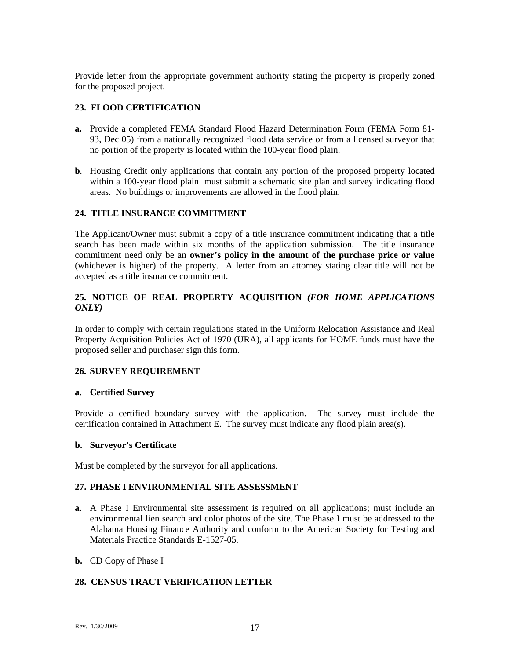Provide letter from the appropriate government authority stating the property is properly zoned for the proposed project.

## **23. FLOOD CERTIFICATION**

- **a.** Provide a completed FEMA Standard Flood Hazard Determination Form (FEMA Form 81- 93, Dec 05) from a nationally recognized flood data service or from a licensed surveyor that no portion of the property is located within the 100-year flood plain.
- **b***.* Housing Credit only applications that contain any portion of the proposed property located within a 100-year flood plain must submit a schematic site plan and survey indicating flood areas. No buildings or improvements are allowed in the flood plain.

## **24. TITLE INSURANCE COMMITMENT**

The Applicant/Owner must submit a copy of a title insurance commitment indicating that a title search has been made within six months of the application submission. The title insurance commitment need only be an **owner's policy in the amount of the purchase price or value** (whichever is higher) of the property. A letter from an attorney stating clear title will not be accepted as a title insurance commitment.

## **25. NOTICE OF REAL PROPERTY ACQUISITION** *(FOR HOME APPLICATIONS ONLY)*

In order to comply with certain regulations stated in the Uniform Relocation Assistance and Real Property Acquisition Policies Act of 1970 (URA), all applicants for HOME funds must have the proposed seller and purchaser sign this form.

#### **26. SURVEY REQUIREMENT**

#### **a. Certified Survey**

Provide a certified boundary survey with the application. The survey must include the certification contained in Attachment E. The survey must indicate any flood plain area(s).

#### **b. Surveyor's Certificate**

Must be completed by the surveyor for all applications.

#### **27. PHASE I ENVIRONMENTAL SITE ASSESSMENT**

**a.** A Phase I Environmental site assessment is required on all applications; must include an environmental lien search and color photos of the site. The Phase I must be addressed to the Alabama Housing Finance Authority and conform to the American Society for Testing and Materials Practice Standards E-1527-05.

#### **b.** CD Copy of Phase I

## **28. CENSUS TRACT VERIFICATION LETTER**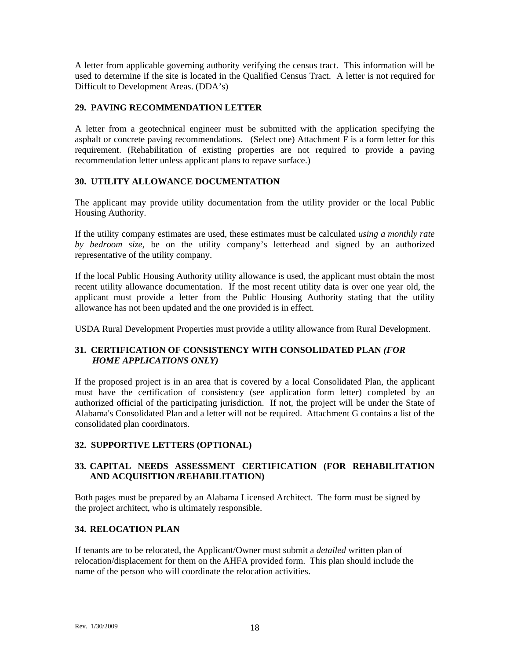A letter from applicable governing authority verifying the census tract. This information will be used to determine if the site is located in the Qualified Census Tract. A letter is not required for Difficult to Development Areas. (DDA's)

## **29. PAVING RECOMMENDATION LETTER**

A letter from a geotechnical engineer must be submitted with the application specifying the asphalt or concrete paving recommendations. (Select one) Attachment F is a form letter for this requirement. (Rehabilitation of existing properties are not required to provide a paving recommendation letter unless applicant plans to repave surface.)

# **30. UTILITY ALLOWANCE DOCUMENTATION**

The applicant may provide utility documentation from the utility provider or the local Public Housing Authority.

If the utility company estimates are used, these estimates must be calculated *using a monthly rate by bedroom size*, be on the utility company's letterhead and signed by an authorized representative of the utility company.

If the local Public Housing Authority utility allowance is used, the applicant must obtain the most recent utility allowance documentation. If the most recent utility data is over one year old, the applicant must provide a letter from the Public Housing Authority stating that the utility allowance has not been updated and the one provided is in effect.

USDA Rural Development Properties must provide a utility allowance from Rural Development.

# **31. CERTIFICATION OF CONSISTENCY WITH CONSOLIDATED PLAN** *(FOR HOME APPLICATIONS ONLY)*

If the proposed project is in an area that is covered by a local Consolidated Plan, the applicant must have the certification of consistency (see application form letter) completed by an authorized official of the participating jurisdiction. If not, the project will be under the State of Alabama's Consolidated Plan and a letter will not be required. Attachment G contains a list of the consolidated plan coordinators.

## **32. SUPPORTIVE LETTERS (OPTIONAL)**

# **33. CAPITAL NEEDS ASSESSMENT CERTIFICATION (FOR REHABILITATION AND ACQUISITION /REHABILITATION)**

Both pages must be prepared by an Alabama Licensed Architect. The form must be signed by the project architect, who is ultimately responsible.

## **34. RELOCATION PLAN**

If tenants are to be relocated, the Applicant/Owner must submit a *detailed* written plan of relocation/displacement for them on the AHFA provided form. This plan should include the name of the person who will coordinate the relocation activities.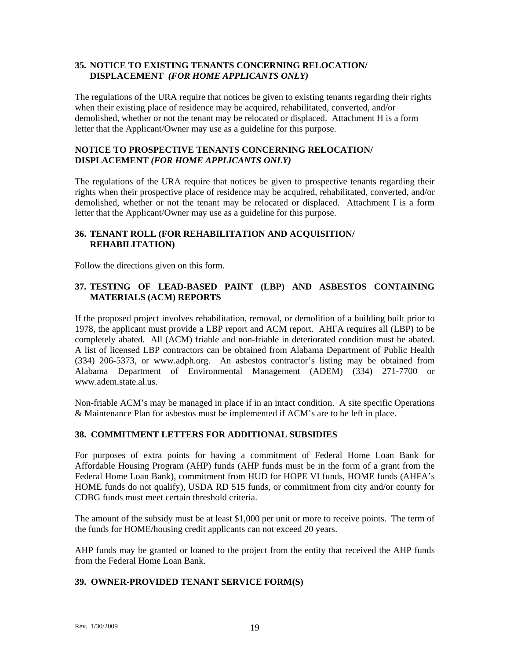## **35. NOTICE TO EXISTING TENANTS CONCERNING RELOCATION/ DISPLACEMENT** *(FOR HOME APPLICANTS ONLY)*

The regulations of the URA require that notices be given to existing tenants regarding their rights when their existing place of residence may be acquired, rehabilitated, converted, and/or demolished, whether or not the tenant may be relocated or displaced. Attachment H is a form letter that the Applicant/Owner may use as a guideline for this purpose.

## **NOTICE TO PROSPECTIVE TENANTS CONCERNING RELOCATION/ DISPLACEMENT** *(FOR HOME APPLICANTS ONLY)*

The regulations of the URA require that notices be given to prospective tenants regarding their rights when their prospective place of residence may be acquired, rehabilitated, converted, and/or demolished, whether or not the tenant may be relocated or displaced. Attachment I is a form letter that the Applicant/Owner may use as a guideline for this purpose.

# **36. TENANT ROLL (FOR REHABILITATION AND ACQUISITION/ REHABILITATION)**

Follow the directions given on this form.

# **37. TESTING OF LEAD-BASED PAINT (LBP) AND ASBESTOS CONTAINING MATERIALS (ACM) REPORTS**

If the proposed project involves rehabilitation, removal, or demolition of a building built prior to 1978, the applicant must provide a LBP report and ACM report. AHFA requires all (LBP) to be completely abated. All (ACM) friable and non-friable in deteriorated condition must be abated. A list of licensed LBP contractors can be obtained from Alabama Department of Public Health (334) 206-5373, or www.adph.org. An asbestos contractor's listing may be obtained from Alabama Department of Environmental Management (ADEM) (334) 271-7700 or www.adem.state.al.us.

Non-friable ACM's may be managed in place if in an intact condition. A site specific Operations & Maintenance Plan for asbestos must be implemented if ACM's are to be left in place.

## **38. COMMITMENT LETTERS FOR ADDITIONAL SUBSIDIES**

For purposes of extra points for having a commitment of Federal Home Loan Bank for Affordable Housing Program (AHP) funds (AHP funds must be in the form of a grant from the Federal Home Loan Bank), commitment from HUD for HOPE VI funds, HOME funds (AHFA's HOME funds do not qualify), USDA RD 515 funds, or commitment from city and/or county for CDBG funds must meet certain threshold criteria.

The amount of the subsidy must be at least \$1,000 per unit or more to receive points. The term of the funds for HOME/housing credit applicants can not exceed 20 years.

AHP funds may be granted or loaned to the project from the entity that received the AHP funds from the Federal Home Loan Bank.

## **39. OWNER-PROVIDED TENANT SERVICE FORM(S)**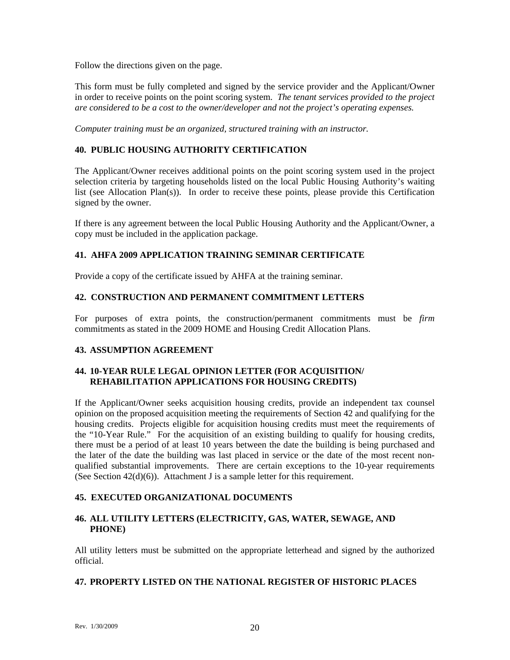Follow the directions given on the page.

This form must be fully completed and signed by the service provider and the Applicant/Owner in order to receive points on the point scoring system. *The tenant services provided to the project are considered to be a cost to the owner/developer and not the project's operating expenses.* 

*Computer training must be an organized, structured training with an instructor.* 

## **40. PUBLIC HOUSING AUTHORITY CERTIFICATION**

The Applicant/Owner receives additional points on the point scoring system used in the project selection criteria by targeting households listed on the local Public Housing Authority's waiting list (see Allocation Plan(s)). In order to receive these points, please provide this Certification signed by the owner.

If there is any agreement between the local Public Housing Authority and the Applicant/Owner, a copy must be included in the application package.

# **41. AHFA 2009 APPLICATION TRAINING SEMINAR CERTIFICATE**

Provide a copy of the certificate issued by AHFA at the training seminar.

# **42. CONSTRUCTION AND PERMANENT COMMITMENT LETTERS**

For purposes of extra points, the construction/permanent commitments must be *firm* commitments as stated in the 2009 HOME and Housing Credit Allocation Plans.

## **43. ASSUMPTION AGREEMENT**

# **44. 10-YEAR RULE LEGAL OPINION LETTER (FOR ACQUISITION/ REHABILITATION APPLICATIONS FOR HOUSING CREDITS)**

If the Applicant/Owner seeks acquisition housing credits, provide an independent tax counsel opinion on the proposed acquisition meeting the requirements of Section 42 and qualifying for the housing credits. Projects eligible for acquisition housing credits must meet the requirements of the "10-Year Rule." For the acquisition of an existing building to qualify for housing credits, there must be a period of at least 10 years between the date the building is being purchased and the later of the date the building was last placed in service or the date of the most recent nonqualified substantial improvements. There are certain exceptions to the 10-year requirements (See Section  $42(d)(6)$ ). Attachment J is a sample letter for this requirement.

# **45. EXECUTED ORGANIZATIONAL DOCUMENTS**

# **46. ALL UTILITY LETTERS (ELECTRICITY, GAS, WATER, SEWAGE, AND PHONE)**

All utility letters must be submitted on the appropriate letterhead and signed by the authorized official.

## **47. PROPERTY LISTED ON THE NATIONAL REGISTER OF HISTORIC PLACES**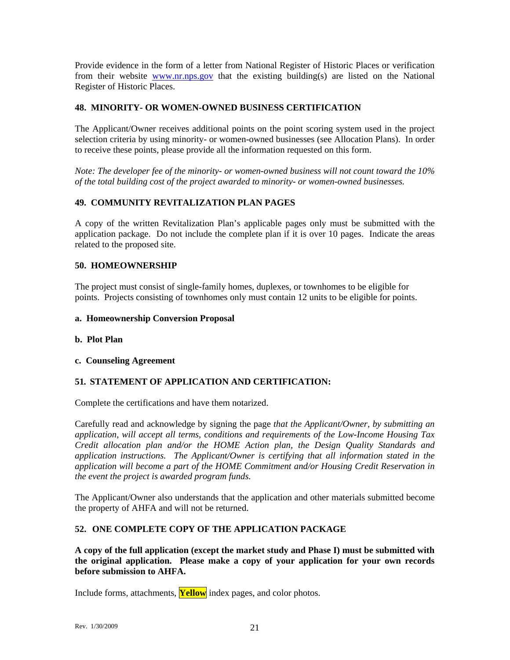Provide evidence in the form of a letter from National Register of Historic Places or verification from their website [www.nr.nps.gov](http://www.nr.nps.gov/) that the existing building(s) are listed on the National Register of Historic Places.

## **48. MINORITY- OR WOMEN-OWNED BUSINESS CERTIFICATION**

The Applicant/Owner receives additional points on the point scoring system used in the project selection criteria by using minority- or women-owned businesses (see Allocation Plans). In order to receive these points, please provide all the information requested on this form.

*Note: The developer fee of the minority- or women-owned business will not count toward the 10% of the total building cost of the project awarded to minority- or women-owned businesses.* 

# **49. COMMUNITY REVITALIZATION PLAN PAGES**

A copy of the written Revitalization Plan's applicable pages only must be submitted with the application package. Do not include the complete plan if it is over 10 pages. Indicate the areas related to the proposed site.

## **50. HOMEOWNERSHIP**

The project must consist of single-family homes, duplexes, or townhomes to be eligible for points. Projects consisting of townhomes only must contain 12 units to be eligible for points.

#### **a. Homeownership Conversion Proposal**

## **b. Plot Plan**

## **c. Counseling Agreement**

## **51***.* **STATEMENT OF APPLICATION AND CERTIFICATION:**

Complete the certifications and have them notarized.

Carefully read and acknowledge by signing the page *that the Applicant/Owner, by submitting an application, will accept all terms, conditions and requirements of the Low-Income Housing Tax Credit allocation plan and/or the HOME Action plan, the Design Quality Standards and application instructions. The Applicant/Owner is certifying that all information stated in the application will become a part of the HOME Commitment and/or Housing Credit Reservation in the event the project is awarded program funds.* 

The Applicant/Owner also understands that the application and other materials submitted become the property of AHFA and will not be returned.

## **52. ONE COMPLETE COPY OF THE APPLICATION PACKAGE**

**A copy of the full application (except the market study and Phase I) must be submitted with the original application. Please make a copy of your application for your own records before submission to AHFA.** 

Include forms, attachments, **Yellow** index pages, and color photos.